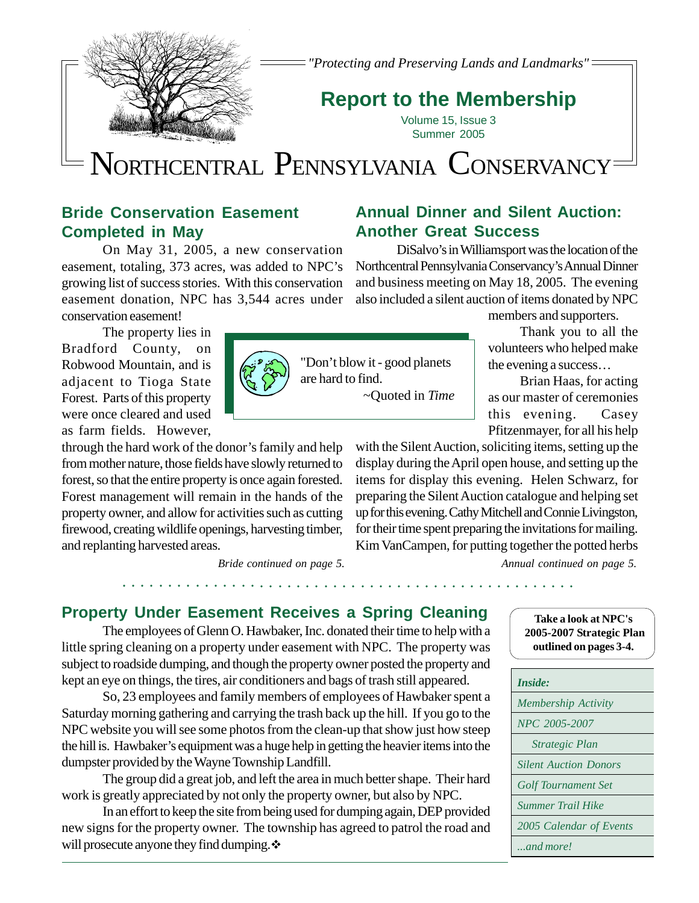

*"Protecting and Preserving Lands and Landmarks"*

# **Report to the Membership**

Volume 15, Issue 3 Summer 2005

# NORTHCENTRAL PENNSYLVANIA CONSERVANCY

## **Bride Conservation Easement Completed in May**

On May 31, 2005, a new conservation easement, totaling, 373 acres, was added to NPC's growing list of success stories. With this conservation easement donation, NPC has 3,544 acres under conservation easement!

The property lies in Bradford County, on Robwood Mountain, and is adjacent to Tioga State Forest. Parts of this property were once cleared and used as farm fields. However,

through the hard work of the donor's family and help from mother nature, those fields have slowly returned to forest, so that the entire property is once again forested. Forest management will remain in the hands of the property owner, and allow for activities such as cutting firewood, creating wildlife openings, harvesting timber, and replanting harvested areas.

*Bride continued on page 5.*

○○○○○○○○○○○○○○○○○○○○○○○○○○○○○○○○○○○○○○○ ○○○○○○○○○○○

## **Annual Dinner and Silent Auction: Another Great Success**

DiSalvo's in Williamsport was the location of the Northcentral Pennsylvania Conservancy's Annual Dinner and business meeting on May 18, 2005. The evening also included a silent auction of items donated by NPC

members and supporters.

Thank you to all the volunteers who helped make the evening a success…

Brian Haas, for acting as our master of ceremonies this evening. Casey Pfitzenmayer, for all his help

with the Silent Auction, soliciting items, setting up the display during the April open house, and setting up the items for display this evening. Helen Schwarz, for preparing the Silent Auction catalogue and helping set up for this evening. Cathy Mitchell and Connie Livingston, for their time spent preparing the invitations for mailing. Kim VanCampen, for putting together the potted herbs

*Annual continued on page 5.*

## **Property Under Easement Receives a Spring Cleaning**

The employees of Glenn O. Hawbaker, Inc. donated their time to help with a little spring cleaning on a property under easement with NPC. The property was subject to roadside dumping, and though the property owner posted the property and kept an eye on things, the tires, air conditioners and bags of trash still appeared.

So, 23 employees and family members of employees of Hawbaker spent a Saturday morning gathering and carrying the trash back up the hill. If you go to the NPC website you will see some photos from the clean-up that show just how steep the hill is. Hawbaker's equipment was a huge help in getting the heavier items into the dumpster provided by the Wayne Township Landfill.

The group did a great job, and left the area in much better shape. Their hard work is greatly appreciated by not only the property owner, but also by NPC.

In an effort to keep the site from being used for dumping again, DEP provided new signs for the property owner. The township has agreed to patrol the road and will prosecute anyone they find dumping.  $\cdot\cdot\cdot$ 





"Don't blow it - good planets are hard to find. ~Quoted in *Time*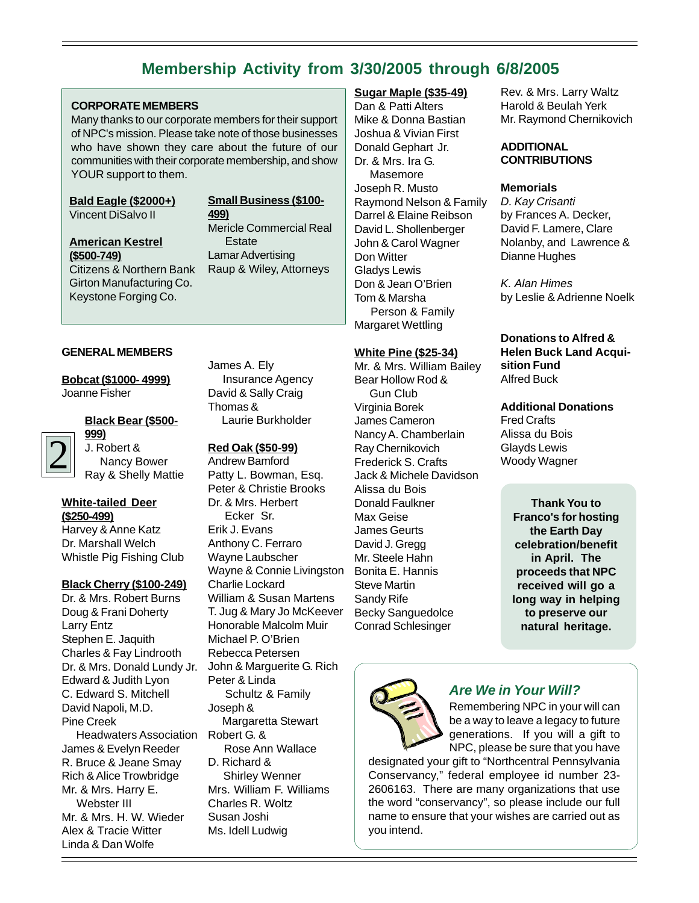## **Membership Activity from 3/30/2005 through 6/8/2005**

#### **CORPORATE MEMBERS**

Many thanks to our corporate members for their support of NPC's mission. Please take note of those businesses who have shown they care about the future of our communities with their corporate membership, and show YOUR support to them.

#### **Small Business (\$100- 499)**

**Bald Eagle (\$2000+)** Vincent DiSalvo II

**American Kestrel (\$500-749)** Citizens & Northern Bank Girton Manufacturing Co. Keystone Forging Co.

#### Mericle Commercial Real **Estate** Lamar Advertising Raup & Wiley, Attorneys

#### **GENERAL MEMBERS**

**Bobcat (\$1000- 4999)** Joanne Fisher

#### **Black Bear (\$500-**

**999)** J. Robert & Nancy Bower Ray & Shelly Mattie

#### **White-tailed Deer (\$250-499)**

2

Harvey & Anne Katz Dr. Marshall Welch Whistle Pig Fishing Club

#### **Black Cherry (\$100-249)**

Dr. & Mrs. Robert Burns Doug & Frani Doherty Larry Entz Stephen E. Jaquith Charles & Fay Lindrooth Dr. & Mrs. Donald Lundy Jr. Edward & Judith Lyon C. Edward S. Mitchell David Napoli, M.D. Pine Creek Headwaters Association James & Evelyn Reeder R. Bruce & Jeane Smay Rich & Alice Trowbridge Mr. & Mrs. Harry E. Webster III Mr. & Mrs. H. W. Wieder Alex & Tracie Witter Linda & Dan Wolfe

James A. Ely Insurance Agency David & Sally Craig Thomas & Laurie Burkholder

#### **Red Oak (\$50-99)**

Andrew Bamford Patty L. Bowman, Esq. Peter & Christie Brooks Dr. & Mrs. Herbert Ecker Sr. Erik J. Evans Anthony C. Ferraro Wayne Laubscher Wayne & Connie Livingston Charlie Lockard William & Susan Martens T. Jug & Mary Jo McKeever Honorable Malcolm Muir Michael P. O'Brien Rebecca Petersen John & Marguerite G. Rich Peter & Linda Schultz & Family Joseph & Margaretta Stewart Robert G. & Rose Ann Wallace D. Richard & Shirley Wenner Mrs. William F. Williams

Charles R. Woltz Susan Joshi Ms. Idell Ludwig

#### **Sugar Maple (\$35-49)**

Dan & Patti Alters Mike & Donna Bastian Joshua & Vivian First Donald Gephart Jr. Dr. & Mrs. Ira G. Masemore Joseph R. Musto Raymond Nelson & Family Darrel & Elaine Reibson David L. Shollenberger John & Carol Wagner Don Witter Gladys Lewis Don & Jean O'Brien Tom & Marsha Person & Family Margaret Wettling

#### **White Pine (\$25-34)**

Mr. & Mrs. William Bailey Bear Hollow Rod & Gun Club Virginia Borek James Cameron Nancy A. Chamberlain Ray Chernikovich Frederick S. Crafts Jack & Michele Davidson Alissa du Bois Donald Faulkner Max Geise James Geurts David J. Gregg Mr. Steele Hahn Bonita E. Hannis Steve Martin Sandy Rife Becky Sanguedolce Conrad Schlesinger

Rev. & Mrs. Larry Waltz Harold & Beulah Yerk Mr. Raymond Chernikovich

#### **ADDITIONAL CONTRIBUTIONS**

#### **Memorials**

D. Kay Crisanti by Frances A. Decker, David F. Lamere, Clare Nolanby, and Lawrence & Dianne Hughes

K. Alan Himes by Leslie & Adrienne Noelk

#### **Donations to Alfred & Helen Buck Land Acquisition Fund** Alfred Buck

**Additional Donations**

Fred Crafts Alissa du Bois Glayds Lewis Woody Wagner

> **Thank You to Franco's for hosting the Earth Day celebration/benefit in April. The proceeds that NPC received will go a long way in helping to preserve our natural heritage.**



#### **Are We in Your Will?**

Remembering NPC in your will can be a way to leave a legacy to future generations. If you will a gift to NPC, please be sure that you have

designated your gift to "Northcentral Pennsylvania Conservancy," federal employee id number 23- 2606163. There are many organizations that use the word "conservancy", so please include our full name to ensure that your wishes are carried out as you intend.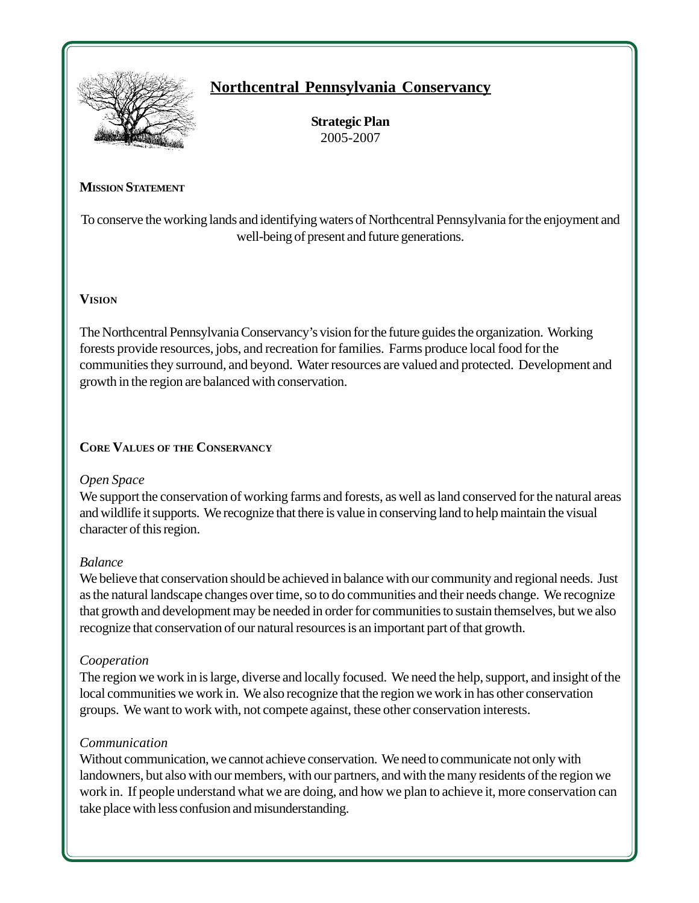

## **Northcentral Pennsylvania Conservancy**

**Strategic Plan** 2005-2007

#### **MISSION STATEMENT**

To conserve the working lands and identifying waters of Northcentral Pennsylvania for the enjoyment and well-being of present and future generations.

#### **VISION**

The Northcentral Pennsylvania Conservancy's vision for the future guides the organization. Working forests provide resources, jobs, and recreation for families. Farms produce local food for the communities they surround, and beyond. Water resources are valued and protected. Development and growth in the region are balanced with conservation.

#### **CORE VALUES OF THE CONSERVANCY**

#### *Open Space*

We support the conservation of working farms and forests, as well as land conserved for the natural areas and wildlife it supports. We recognize that there is value in conserving land to help maintain the visual character of this region.

#### *Balance*

We believe that conservation should be achieved in balance with our community and regional needs. Just as the natural landscape changes over time, so to do communities and their needs change. We recognize that growth and development may be needed in order for communities to sustain themselves, but we also recognize that conservation of our natural resources is an important part of that growth.

#### *Cooperation*

The region we work in is large, diverse and locally focused. We need the help, support, and insight of the local communities we work in. We also recognize that the region we work in has other conservation groups. We want to work with, not compete against, these other conservation interests.

#### *Communication*

Without communication, we cannot achieve conservation. We need to communicate not only with landowners, but also with our members, with our partners, and with the many residents of the region we work in. If people understand what we are doing, and how we plan to achieve it, more conservation can take place with less confusion and misunderstanding.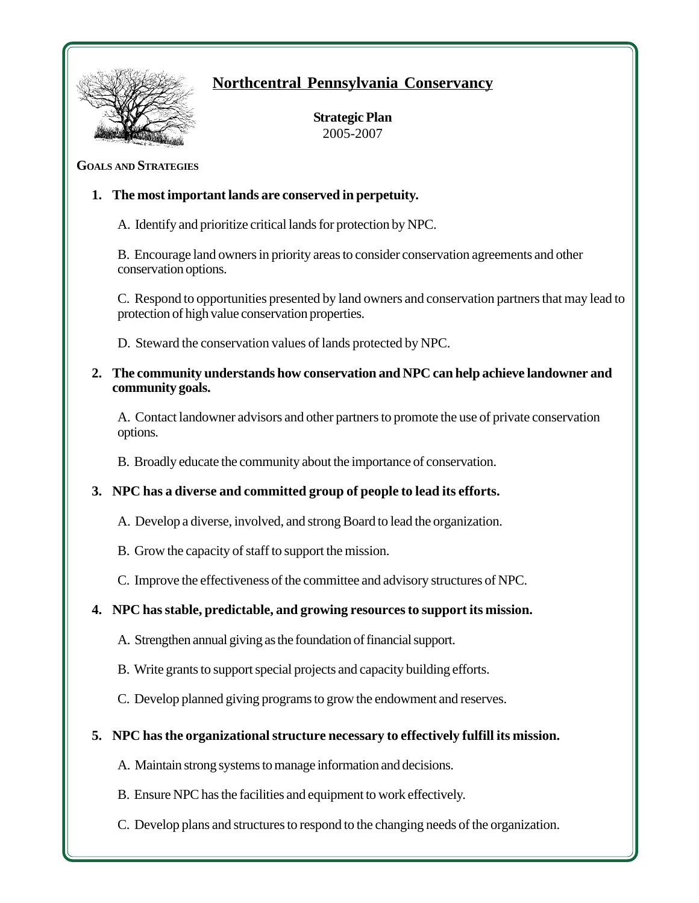

## **Northcentral Pennsylvania Conservancy**

**Strategic Plan** 2005-2007

#### **GOALS AND STRATEGIES**

#### **1. The most important lands are conserved in perpetuity.**

A. Identify and prioritize critical lands for protection by NPC.

B. Encourage land owners in priority areas to consider conservation agreements and other conservation options.

C. Respond to opportunities presented by land owners and conservation partners that may lead to protection of high value conservation properties.

D. Steward the conservation values of lands protected by NPC.

**2. The community understands how conservation and NPC can help achieve landowner and community goals.**

A. Contact landowner advisors and other partners to promote the use of private conservation options.

B. Broadly educate the community about the importance of conservation.

## **3. NPC has a diverse and committed group of people to lead its efforts.**

- A. Develop a diverse, involved, and strong Board to lead the organization.
- B. Grow the capacity of staff to support the mission.
- C. Improve the effectiveness of the committee and advisory structures of NPC.

## **4. NPC has stable, predictable, and growing resources to support its mission.**

- A. Strengthen annual giving as the foundation of financial support.
- B. Write grants to support special projects and capacity building efforts.
- C. Develop planned giving programs to grow the endowment and reserves.
- **5. NPC has the organizational structure necessary to effectively fulfill its mission.**
	- A. Maintain strong systems to manage information and decisions.
	- B. Ensure NPC has the facilities and equipment to work effectively.
	- C. Develop plans and structures to respond to the changing needs of the organization.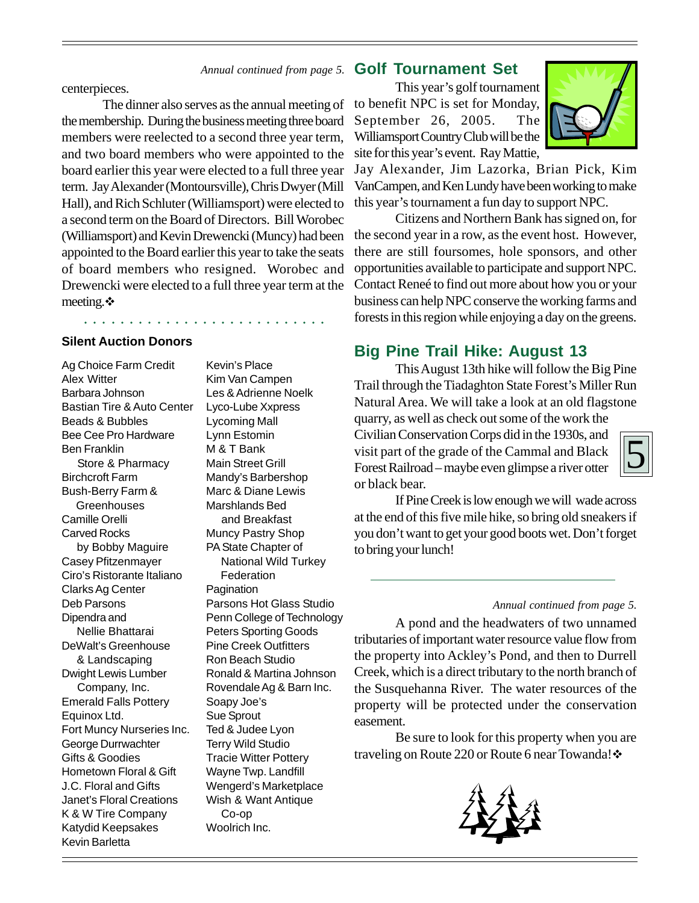#### Annual continued from page 5. **Golf Tournament Set**

centerpieces.

The dinner also serves as the annual meeting of the membership. During the business meeting three board members were reelected to a second three year term, and two board members who were appointed to the board earlier this year were elected to a full three year term. Jay Alexander (Montoursville), Chris Dwyer (Mill Hall), and Rich Schluter (Williamsport) were elected to a second term on the Board of Directors. Bill Worobec (Williamsport) and Kevin Drewencki (Muncy) had been appointed to the Board earlier this year to take the seats of board members who resigned. Worobec and Drewencki were elected to a full three year term at the meeting. $\cdot$ 

○○○○○○○○○○○○○○ ○○○○○○○○○○○○○

#### **Silent Auction Donors**

Ag Choice Farm Credit Alex Witter Barbara Johnson Bastian Tire & Auto Center Beads & Bubbles Bee Cee Pro Hardware Ben Franklin Store & Pharmacy Birchcroft Farm Bush-Berry Farm & **Greenhouses** Camille Orelli Carved Rocks by Bobby Maguire Casey Pfitzenmayer Ciro's Ristorante Italiano Clarks Ag Center Deb Parsons Dipendra and Nellie Bhattarai DeWalt's Greenhouse & Landscaping Dwight Lewis Lumber Company, Inc. Emerald Falls Pottery Equinox Ltd. Fort Muncy Nurseries Inc. George Durrwachter Gifts & Goodies Hometown Floral & Gift J.C. Floral and Gifts Janet's Floral Creations K & W Tire Company Katydid Keepsakes Kevin Barletta

Kevin's Place Kim Van Campen Les & Adrienne Noelk Lyco-Lube Xxpress Lycoming Mall Lynn Estomin M & T Bank Main Street Grill Mandy's Barbershop Marc & Diane Lewis Marshlands Bed and Breakfast Muncy Pastry Shop PA State Chapter of National Wild Turkey **Federation** Pagination Parsons Hot Glass Studio Penn College of Technology Peters Sporting Goods Pine Creek Outfitters Ron Beach Studio Ronald & Martina Johnson Rovendale Ag & Barn Inc. Soapy Joe's Sue Sprout Ted & Judee Lyon Terry Wild Studio Tracie Witter Pottery Wayne Twp. Landfill Wengerd's Marketplace Wish & Want Antique Co-op Woolrich Inc.

This year's golf tournament to benefit NPC is set for Monday, September 26, 2005. The Williamsport Country Club will be the site for this year's event. Ray Mattie,



Jay Alexander, Jim Lazorka, Brian Pick, Kim VanCampen, and Ken Lundy have been working to make this year's tournament a fun day to support NPC.

Citizens and Northern Bank has signed on, for the second year in a row, as the event host. However, there are still foursomes, hole sponsors, and other opportunities available to participate and support NPC. Contact Reneé to find out more about how you or your business can help NPC conserve the working farms and forests in this region while enjoying a day on the greens.

## **Big Pine Trail Hike: August 13**

This August 13th hike will follow the Big Pine Trail through the Tiadaghton State Forest's Miller Run Natural Area. We will take a look at an old flagstone quarry, as well as check out some of the work the Civilian Conservation Corps did in the 1930s, and

visit part of the grade of the Cammal and Black Forest Railroad – maybe even glimpse a river otter or black bear.



If Pine Creek is low enough we will wade across at the end of this five mile hike, so bring old sneakers if you don't want to get your good boots wet. Don't forget to bring your lunch!

#### *Annual continued from page 5.*

A pond and the headwaters of two unnamed tributaries of important water resource value flow from the property into Ackley's Pond, and then to Durrell Creek, which is a direct tributary to the north branch of the Susquehanna River. The water resources of the property will be protected under the conservation easement.

Be sure to look for this property when you are traveling on Route 220 or Route 6 near Towanda! ❖